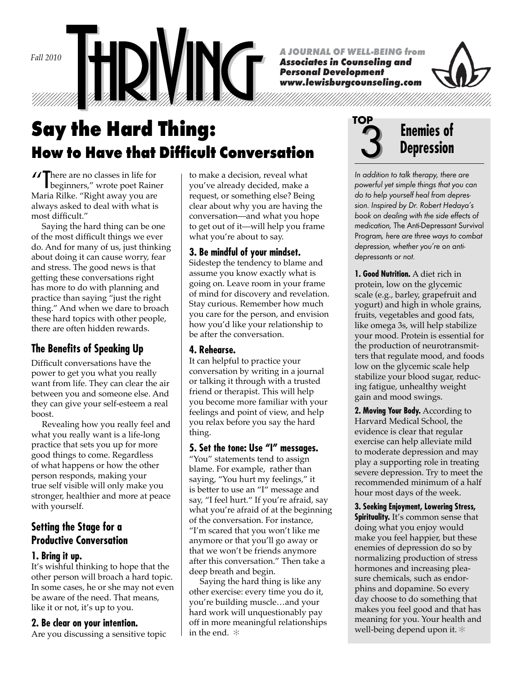*Fall 2010*

*A JOURNAL OF WELL-BEING from*

*Associates in Counseling and Personal Development www.lewisburgcounseling.com*



**Say the Hard Thing: How to Have that Difficult Conversation** 

There are no classes in life for<br>beginners," wrote poet Raine beginners," wrote poet Rainer Maria Rilke. "Right away you are always asked to deal with what is most difficult."

 Saying the hard thing can be one of the most difficult things we ever do. And for many of us, just thinking about doing it can cause worry, fear and stress. The good news is that getting these conversations right has more to do with planning and practice than saying "just the right thing." And when we dare to broach these hard topics with other people, there are often hidden rewards.

# **The Benefits of Speaking Up**

Difficult conversations have the power to get you what you really want from life. They can clear the air between you and someone else. And they can give your self-esteem a real boost.

 Revealing how you really feel and what you really want is a life-long practice that sets you up for more good things to come. Regardless of what happens or how the other person responds, making your true self visible will only make you stronger, healthier and more at peace with yourself.

## **Setting the Stage for a Productive Conversation**

## **1. Bring it up.**

It's wishful thinking to hope that the other person will broach a hard topic. In some cases, he or she may not even be aware of the need. That means, like it or not, it's up to you.

#### **2. Be clear on your intention.**

Are you discussing a sensitive topic

to make a decision, reveal what you've already decided, make a request, or something else? Being clear about why you are having the conversation—and what you hope to get out of it—will help you frame what you're about to say.

### **3. Be mindful of your mindset.**

Sidestep the tendency to blame and assume you know exactly what is going on. Leave room in your frame of mind for discovery and revelation. Stay curious. Remember how much you care for the person, and envision how you'd like your relationship to be after the conversation.

## **4. Rehearse.**

It can helpful to practice your conversation by writing in a journal or talking it through with a trusted friend or therapist. This will help you become more familiar with your feelings and point of view, and help you relax before you say the hard thing.

#### **5. Set the tone: Use "I" messages.**

"You" statements tend to assign blame. For example, rather than saying, "You hurt my feelings," it is better to use an "I" message and say, "I feel hurt." If you're afraid, say what you're afraid of at the beginning of the conversation. For instance, "I'm scared that you won't like me anymore or that you'll go away or that we won't be friends anymore after this conversation." Then take a deep breath and begin.

 Saying the hard thing is like any other exercise: every time you do it, you're building muscle…and your hard work will unquestionably pay off in more meaningful relationships in the end. ✻



In addition to talk therapy, there are powerful yet simple things that you can do to help yourself heal from depression. Inspired by Dr. Robert Hedaya's book on dealing with the side effects of medication, The Anti-Depressant Survival Program, here are three ways to combat depression, whether you're on antidepressants or not.

**1. Good Nutrition.** A diet rich in protein, low on the glycemic scale (e.g., barley, grapefruit and yogurt) and high in whole grains, fruits, vegetables and good fats, like omega 3s, will help stabilize your mood. Protein is essential for the production of neurotransmitters that regulate mood, and foods low on the glycemic scale help stabilize your blood sugar, reducing fatigue, unhealthy weight gain and mood swings.

**2. Moving Your Body.** According to Harvard Medical School, the evidence is clear that regular exercise can help alleviate mild to moderate depression and may play a supporting role in treating severe depression. Try to meet the recommended minimum of a half hour most days of the week.

**3. Seeking Enjoyment, Lowering Stress, Spirituality.** It's common sense that doing what you enjoy would make you feel happier, but these enemies of depression do so by normalizing production of stress hormones and increasing pleasure chemicals, such as endorphins and dopamine. So every day choose to do something that makes you feel good and that has meaning for you. Your health and well-being depend upon it. ✻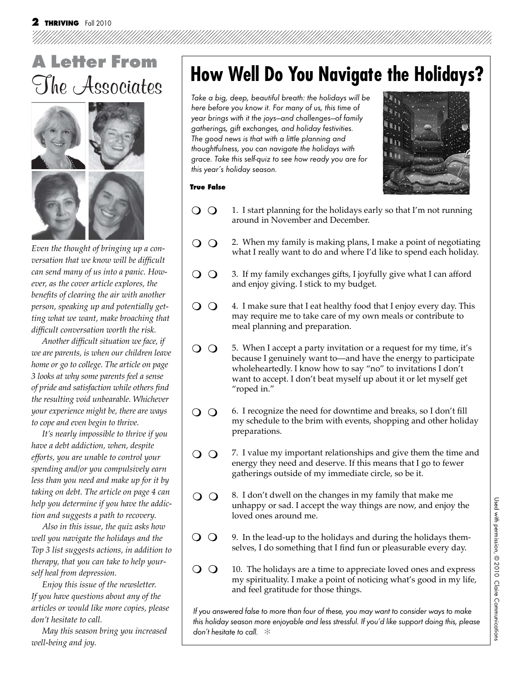

*Even the thought of bringing up a conversation that we know will be difficult can send many of us into a panic. However, as the cover article explores, the*  benefits of clearing the air with another *person, speaking up and potentially getting what we want, make broaching that diffi cult conversation worth the risk.* 

 *Another diffi cult situation we face, if we are parents, is when our children leave home or go to college. The article on page 3 looks at why some parents feel a sense of pride and satisfaction while others fi nd the resulting void unbearable. Whichever your experience might be, there are ways to cope and even begin to thrive.*

 *It's nearly impossible to thrive if you have a debt addiction, when, despite efforts, you are unable to control your spending and/or you compulsively earn less than you need and make up for it by taking on debt. The article on page 4 can help you determine if you have the addiction and suggests a path to recovery.*

 *Also in this issue, the quiz asks how well you navigate the holidays and the Top 3 list suggests actions, in addition to therapy, that you can take to help yourself heal from depression.*

 *Enjoy this issue of the newsletter. If you have questions about any of the articles or would like more copies, please don't hesitate to call.*

 *May this season bring you increased well-being and joy.*

# **How Well Do You Navigate the Holidays?**

Take a big, deep, beautiful breath: the holidays will be here before you know it. For many of us, this time of year brings with it the joys—and challenges—of family gatherings, gift exchanges, and holiday festivities. The good news is that with a little planning and thoughtfulness, you can navigate the holidays with grace. Take this self-quiz to see how ready you are for this year's holiday season.



#### **True False**

- $\Omega$ 1. I start planning for the holidays early so that I'm not running around in November and December.
- 2. When my family is making plans, I make a point of negotiating  $\Omega$ what I really want to do and where I'd like to spend each holiday.
- $\Omega$ 3. If my family exchanges gifts, I joyfully give what I can afford and enjoy giving. I stick to my budget.
- $\Omega$ 4. I make sure that I eat healthy food that I enjoy every day. This may require me to take care of my own meals or contribute to meal planning and preparation.
- $\Omega$ 5. When I accept a party invitation or a request for my time, it's because I genuinely want to—and have the energy to participate wholeheartedly. I know how to say "no" to invitations I don't want to accept. I don't beat myself up about it or let myself get "roped in."
- $\Omega$ 6. I recognize the need for downtime and breaks, so I don't fill my schedule to the brim with events, shopping and other holiday preparations.
- $\Omega$ 7. I value my important relationships and give them the time and energy they need and deserve. If this means that I go to fewer gatherings outside of my immediate circle, so be it.
- $\overline{O}$   $\overline{O}$ 8. I don't dwell on the changes in my family that make me unhappy or sad. I accept the way things are now, and enjoy the loved ones around me.
- $\Omega$ 9. In the lead-up to the holidays and during the holidays themselves, I do something that I find fun or pleasurable every day.
- $\Omega$ 10. The holidays are a time to appreciate loved ones and express my spirituality. I make a point of noticing what's good in my life, and feel gratitude for those things.

If you answered false to more than four of these, you may want to consider ways to make this holiday season more enjoyable and less stressful. If you'd like support doing this, please don't hesitate to call.  $\ast$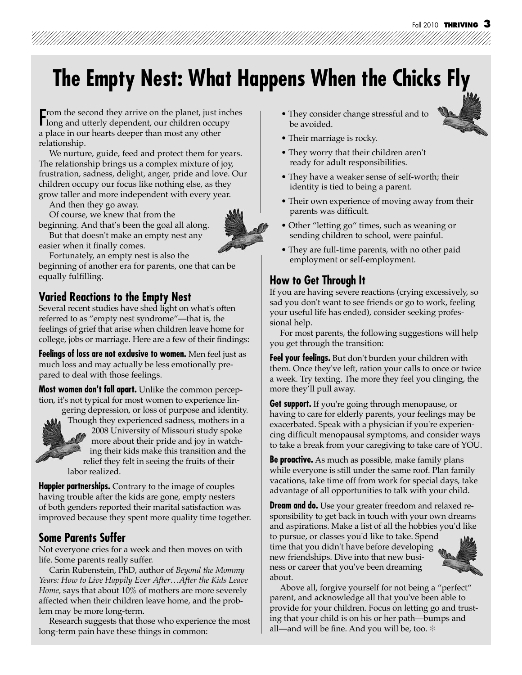# **The Empty Nest: What Happens When the Chicks Fly**

From the second they arrive on the planet, just inches<br>long and utterly dependent, our children occupy long and utterly dependent, our children occupy a place in our hearts deeper than most any other relationship.

 We nurture, guide, feed and protect them for years. The relationship brings us a complex mixture of joy, frustration, sadness, delight, anger, pride and love. Our children occupy our focus like nothing else, as they grow taller and more independent with every year.

And then they go away.

easier when it finally comes.

 Of course, we knew that from the beginning. And that's been the goal all along. But that doesn't make an empty nest any



Fortunately, an empty nest is also the

beginning of another era for parents, one that can be equally fulfilling.

## **Varied Reactions to the Empty Nest**

Several recent studies have shed light on what's often referred to as "empty nest syndrome"—that is, the feelings of grief that arise when children leave home for college, jobs or marriage. Here are a few of their findings:

**Feelings of loss are not exclusive to women.** Men feel just as much loss and may actually be less emotionally prepared to deal with those feelings.

**Most women don't fall apart.** Unlike the common perception, it's not typical for most women to experience lin-

gering depression, or loss of purpose and identity.



Though they experienced sadness, mothers in a Thou 2008 University of Missouri study spoke more about their pride and joy in watching their kids make this transition and the relief they felt in seeing the fruits of their labor realized.

**Happier partnerships.** Contrary to the image of couples having trouble after the kids are gone, empty nesters of both genders reported their marital satisfaction was improved because they spent more quality time together.

## **Some Parents Suffer**

Not everyone cries for a week and then moves on with life. Some parents really suffer.

 Carin Rubenstein, PhD, author of *Beyond the Mommy Years: How to Live Happily Ever After…After the Kids Leave Home,* says that about 10% of mothers are more severely affected when their children leave home, and the problem may be more long-term.

 Research suggests that those who experience the most long-term pain have these things in common:

- They consider change stressful and to be avoided.
- Their marriage is rocky.
- They worry that their children aren't ready for adult responsibilities.
- They have a weaker sense of self-worth; their identity is tied to being a parent.
- Their own experience of moving away from their parents was difficult.
- Other "letting go" times, such as weaning or sending children to school, were painful.
- They are full-time parents, with no other paid employment or self-employment.

## **How to Get Through It**

If you are having severe reactions (crying excessively, so sad you don't want to see friends or go to work, feeling your useful life has ended), consider seeking professional help.

 For most parents, the following suggestions will help you get through the transition:

**Feel your feelings.** But don't burden your children with them. Once they've left, ration your calls to once or twice a week. Try texting. The more they feel you clinging, the more they'll pull away.

**Get support.** If you're going through menopause, or having to care for elderly parents, your feelings may be exacerbated. Speak with a physician if you're experiencing difficult menopausal symptoms, and consider ways to take a break from your caregiving to take care of YOU.

**Be proactive.** As much as possible, make family plans while everyone is still under the same roof. Plan family vacations, take time off from work for special days, take advantage of all opportunities to talk with your child.

**Dream and do.** Use your greater freedom and relaxed responsibility to get back in touch with your own dreams and aspirations. Make a list of all the hobbies you'd like to pursue, or classes you'd like to take. Spend time that you didn't have before developing new friendships. Dive into that new business or career that you've been dreaming about.



 Above all, forgive yourself for not being a "perfect" parent, and acknowledge all that you've been able to provide for your children. Focus on letting go and trusting that your child is on his or her path—bumps and all—and will be fine. And you will be, too.  $*$